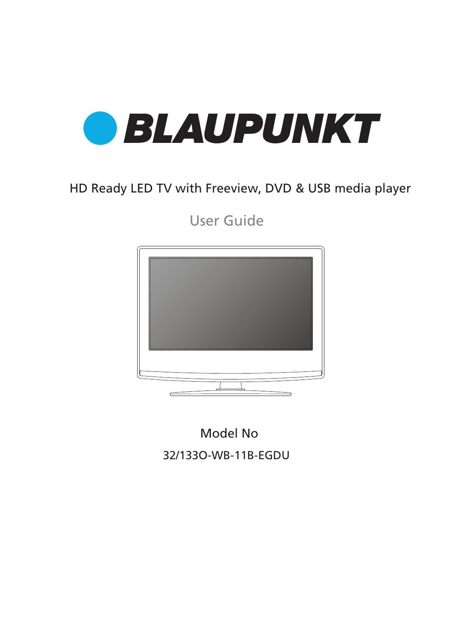

### HD Ready LED TV with Freeview, DVD & USB media player

User Guide



Model No 32/133O-WB-11B-EGDU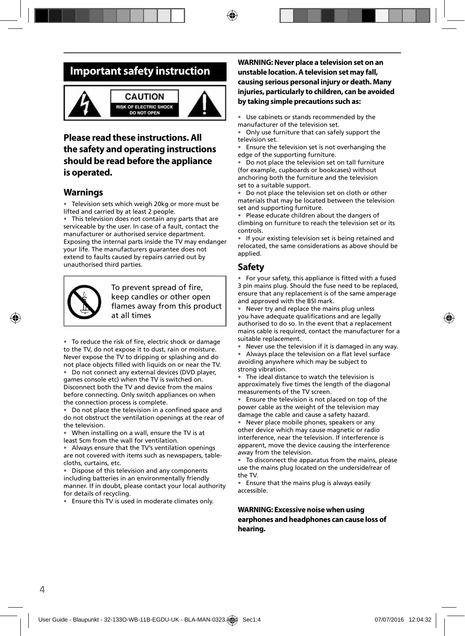### **Important safety instruction**



#### CALITION **RISK OF ELECTRIC SHOCK DO NOT OPEN**



### **Please read these instructions. All the safety and operating instructions should be read before the appliance is operated.**

#### **Warnings**

• Television sets which weigh 20kg or more must be lifted and carried by at least 2 people.

• This television does not contain any parts that are serviceable by the user. In case of a fault, contact the manufacturer or authorised service department. Exposing the internal parts inside the TV may endanger your life. The manufacturers guarantee does not extend to faults caused by repairs carried out by unauthorised third parties.



To prevent spread of fire, keep candles or other open flames away from this product at all times

• To reduce the risk of fire, electric shock or damage to the TV, do not expose it to dust, rain or moisture. Never expose the TV to dripping or splashing and do not place objects filled with liquids on or near the TV.

• Do not connect any external devices (DVD player, games console etc) when the TV is switched on. Disconnect both the TV and device from the mains before connecting. Only switch appliances on when the connection process is complete.

Do not place the television in a confined space and do not obstruct the ventilation openings at the rear of the television.

• When installing on a wall, ensure the TV is at least 5cm from the wall for ventilation.

• Always ensure that the TV's ventilation openings are not covered with items such as newspapers, tablecloths, curtains, etc.

Dispose of this television and any components including batteries in an environmentally friendly manner. If in doubt, please contact your local authority for details of recycling.

• Ensure this TV is used in moderate climates only.

#### **WARNING: Never place a television set on an unstable location. A television set may fall, causing serious personal injury or death. Many injuries, particularly to children, can be avoided by taking simple precautions such as:**

• Use cabinets or stands recommended by the manufacturer of the television set.

• Only use furniture that can safely support the television set.

Ensure the television set is not overhanging the edge of the supporting furniture.

• Do not place the television set on tall furniture (for example, cupboards or bookcases) without anchoring both the furniture and the television set to a suitable support.

• Do not place the television set on cloth or other materials that may be located between the television set and supporting furniture.

Please educate children about the dangers of climbing on furniture to reach the television set or its controls.

If your existing television set is being retained and relocated, the same considerations as above should be applied.

### **Safety**

For your safety, this appliance is fitted with a fused 3 pin mains plug. Should the fuse need to be replaced, ensure that any replacement is of the same amperage and approved with the BSI mark.

• Never try and replace the mains plug unless you have adequate qualifications and are legally authorised to do so. In the event that a replacement mains cable is required, contact the manufacturer for a suitable replacement.

Never use the television if it is damaged in any way.

• Always place the television on a flat level surface avoiding anywhere which may be subject to strong vibration.

• The ideal distance to watch the television is approximately five times the length of the diagonal measurements of the TV screen.

Ensure the television is not placed on top of the power cable as the weight of the television may damage the cable and cause a safety hazard.

Never place mobile phones, speakers or any other device which may cause magnetic or radio interference, near the television. If interference is apparent, move the device causing the interference away from the television.

• To disconnect the apparatus from the mains, please use the mains plug located on the underside/rear of the TV.

• Ensure that the mains plug is always easily accessible.

#### **WARNING: Excessive noise when using earphones and headphones can cause loss of hearing.**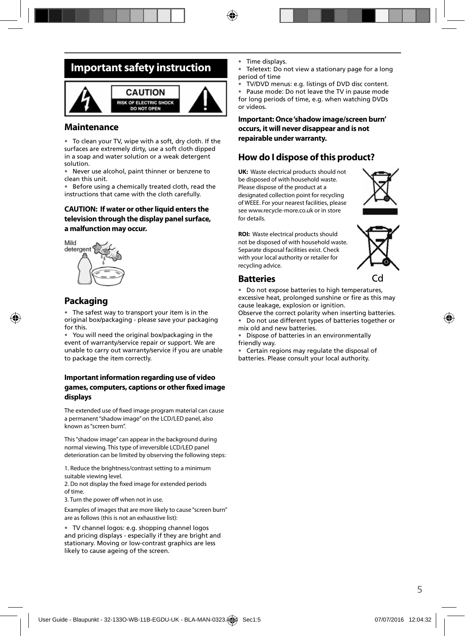### **Important safety instruction**



#### **Maintenance**

• To clean your TV, wipe with a soft, dry cloth. If the surfaces are extremely dirty, use a soft cloth dipped in a soap and water solution or a weak detergent solution.

• Never use alcohol, paint thinner or benzene to clean this unit.

• Before using a chemically treated cloth, read the instructions that came with the cloth carefully.

#### **CAUTION: If water or other liquid enters the television through the display panel surface, a malfunction may occur.**



### **Packaging**

• The safest way to transport your item is in the original box/packaging - please save your packaging for this.

• You will need the original box/packaging in the event of warranty/service repair or support. We are unable to carry out warranty/service if you are unable to package the item correctly.

#### **Important information regarding use of video**  games, computers, captions or other fixed image **displays**

The extended use of fixed image program material can cause a permanent "shadow image" on the LCD/LED panel, also known as "screen burn".

This "shadow image" can appear in the background during normal viewing. This type of irreversible LCD/LED panel deterioration can be limited by observing the following steps:

1. Reduce the brightness/contrast setting to a minimum suitable viewing level.

2. Do not display the fixed image for extended periods of time.

3. Turn the power off when not in use.

Examples of images that are more likely to cause "screen burn" are as follows (this is not an exhaustive list):

• TV channel logos: e.g. shopping channel logos and pricing displays - especially if they are bright and stationary. Moving or low-contrast graphics are less likely to cause ageing of the screen.

- Time displays.
- Teletext: Do not view a stationary page for a long period of time
- TV/DVD menus: e.g. listings of DVD disc content.

• Pause mode: Do not leave the TV in pause mode for long periods of time, e.g. when watching DVDs or videos.

**Important: Once 'shadow image/screen burn' occurs, it will never disappear and is not repairable under warranty.**

### **How do I dispose of this product?**

**UK:** Waste electrical products should not be disposed of with household waste. Please dispose of the product at a designated collection point for recycling of WEEE. For your nearest facilities, please see www.recycle-more.co.uk or in store for details.



**ROI:** Waste electrical products should not be disposed of with household waste. Separate disposal facilities exist. Check with your local authority or retailer for recycling advice.



#### **Batteries**

Do not expose batteries to high temperatures, excessive heat, prolonged sunshine or fire as this may cause leakage, explosion or ignition.

Observe the correct polarity when inserting batteries.

• Do not use different types of batteries together or mix old and new batteries.

• Dispose of batteries in an environmentally friendly way.

• Certain regions may regulate the disposal of batteries. Please consult your local authority.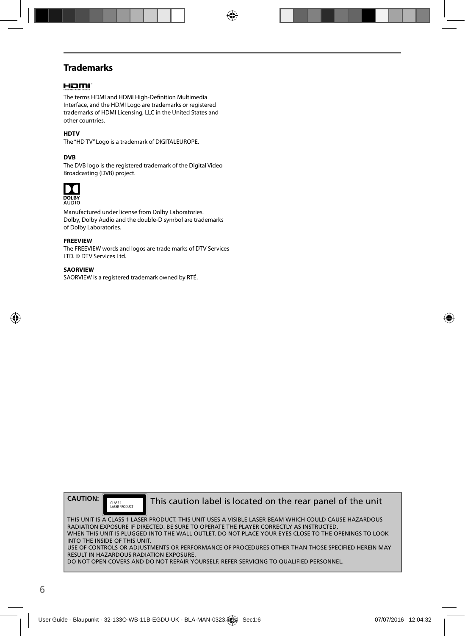### **Trademarks**

#### Homr

The terms HDMI and HDMI High-Definition Multimedia Interface, and the HDMI Logo are trademarks or registered trademarks of HDMI Licensing, LLC in the United States and other countries.

#### **HDTV**

The "HD TV" Logo is a trademark of DIGITALEUROPE.

#### **DVB**

The DVB logo is the registered trademark of the Digital Video Broadcasting (DVB) project.



Manufactured under license from Dolby Laboratories. Dolby, Dolby Audio and the double-D symbol are trademarks of Dolby Laboratories.

#### **FREEVIEW**

The FREEVIEW words and logos are trade marks of DTV Services LTD. © DTV Services Ltd.

#### **SAORVIEW**

SAORVIEW is a registered trademark owned by RTÉ.

**CAUTION:**

CLASS 1<br>LASER PRODUCT

This caution label is located on the rear panel of the unit

THIS UNIT IS A CLASS 1 LASER PRODUCT. THIS UNIT USES A VISIBLE LASER BEAM WHICH COULD CAUSE HAZARDOUS RADIATION EXPOSURE IF DIRECTED. BE SURE TO OPERATE THE PLAYER CORRECTLY AS INSTRUCTED. WHEN THIS UNIT IS PLUGGED INTO THE WALL OUTLET, DO NOT PLACE YOUR EYES CLOSE TO THE OPENINGS TO LOOK INTO THE INSIDE OF THIS UNIT. USE OF CONTROLS OR ADJUSTMENTS OR PERFORMANCE OF PROCEDURES OTHER THAN THOSE SPECIFIED HEREIN MAY RESULT IN HAZARDOUS RADIATION EXPOSURE. DO NOT OPEN COVERS AND DO NOT REPAIR YOURSELF. REFER SERVICING TO OUALIFIED PERSONNEL.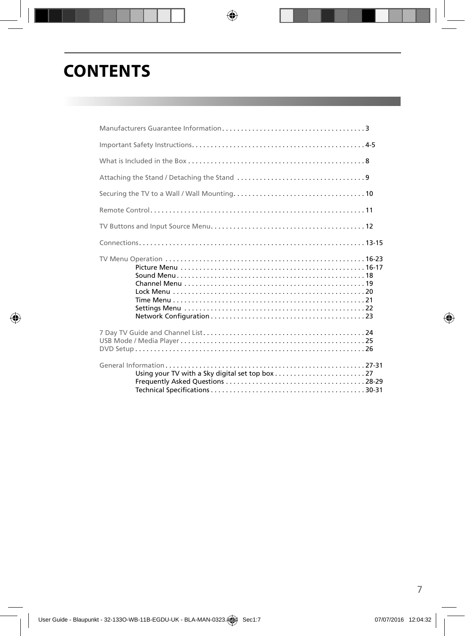# **CONTENTS**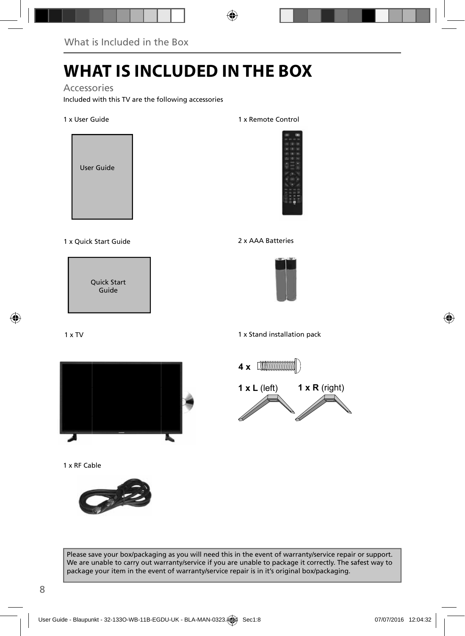# **WHAT IS INCLUDED IN THE BOX**

#### Accessories

Included with this TV are the following accessories

1 x User Guide



1 x Quick Start Guide 2 x AAA Batteries

Quick Start Guide

#### 1 x TV



1 x RF Cable



1 x Remote Control





1 x Stand installation pack



Please save your box/packaging as you will need this in the event of warranty/service repair or support. We are unable to carry out warranty/service if you are unable to package it correctly. The safest way to package your item in the event of warranty/service repair is in it's original box/packaging.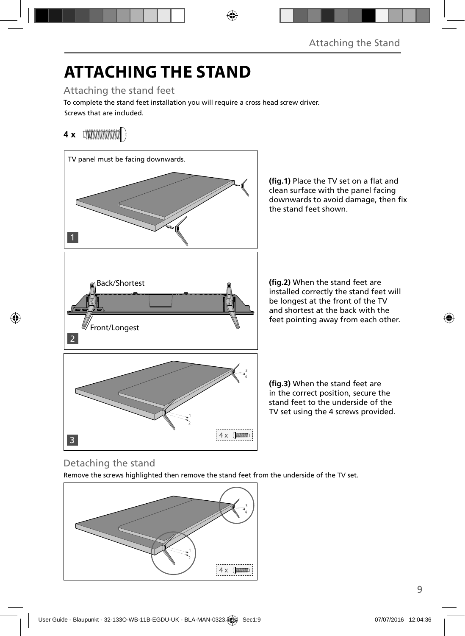# **ATTACHING THE STAND**

Attaching the stand feet

Screws that are included. To complete the stand feet installation you will require a cross head screw driver.

### **4 x** [**\\\\\\\\\\\\\\\\\\\\\\\\**\\\



(fig.1) Place the TV set on a flat and clean surface with the panel facing downwards to avoid damage, then fix the stand feet shown.

(fig.2) When the stand feet are installed correctly the stand feet will be longest at the front of the TV and shortest at the back with the feet pointing away from each other.

**(fig.3)** When the stand feet are in the correct position, secure the stand feet to the underside of the TV set using the 4 screws provided.

### Detaching the stand

Remove the screws highlighted then remove the stand feet from the underside of the TV set.

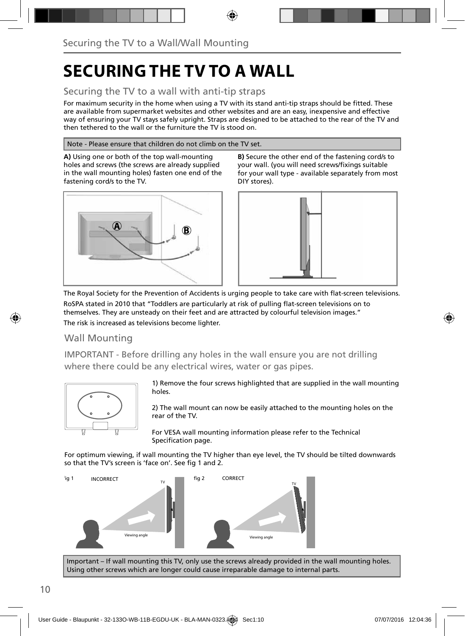# **SECURING THE TV TO A WALL**

### Securing the TV to a wall with anti-tip straps

For maximum security in the home when using a TV with its stand anti-tip straps should be fitted. These are available from supermarket websites and other websites and are an easy, inexpensive and effective way of ensuring your TV stays safely upright. Straps are designed to be attached to the rear of the TV and then tethered to the wall or the furniture the TV is stood on.

#### Note - Please ensure that children do not climb on the TV set.

**A)** Using one or both of the top wall-mounting holes and screws (the screws are already supplied in the wall mounting holes) fasten one end of the fastening cord/s to the TV.



**B)** Secure the other end of the fastening cord/s to your wall. (you will need screws/fixings suitable for your wall type - available separately from most DIY stores).



The Royal Society for the Prevention of Accidents is urging people to take care with flat-screen televisions.

RoSPA stated in 2010 that "Toddlers are particularly at risk of pulling flat-screen televisions on to themselves. They are unsteady on their feet and are attracted by colourful television images." The risk is increased as televisions become lighter.

### Wall Mounting

IMPORTANT - Before drilling any holes in the wall ensure you are not drilling where there could be any electrical wires, water or gas pipes.



1) Remove the four screws highlighted that are supplied in the wall mounting holes.

2) The wall mount can now be easily attached to the mounting holes on the rear of the TV.

For VESA wall mounting information please refer to the Technical Specification page.

For optimum viewing, if wall mounting the TV higher than eye level, the TV should be tilted downwards so that the TV's screen is 'face on'. See fig 1 and 2.



Important – If wall mounting this TV, only use the screws already provided in the wall mounting holes. Using other screws which are longer could cause irreparable damage to internal parts.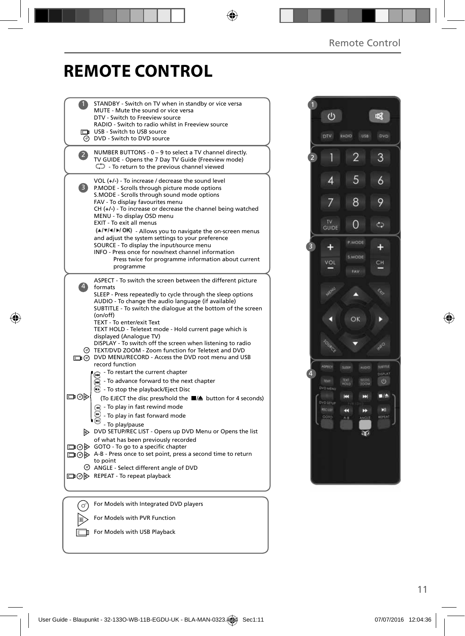# **REMOTE CONTROL**

|                | STANDBY - Switch on TV when in standby or vice versa                                                             |  |
|----------------|------------------------------------------------------------------------------------------------------------------|--|
|                | MUTE - Mute the sound or vice versa<br>DTV - Switch to Freeview source                                           |  |
|                | RADIO - Switch to radio whilst in Freeview source                                                                |  |
|                | USB - Switch to USB source<br><b>O</b> DVD - Switch to DVD source                                                |  |
|                |                                                                                                                  |  |
| $\overline{2}$ | NUMBER BUTTONS - 0 - 9 to select a TV channel directly.<br>TV GUIDE - Opens the 7 Day TV Guide (Freeview mode)   |  |
|                | $\mathbb{C}$ - To return to the previous channel viewed                                                          |  |
|                |                                                                                                                  |  |
| 3)             | VOL $(+/-)$ - To increase / decrease the sound level<br>P.MODE - Scrolls through picture mode options            |  |
|                | S.MODE - Scrolls through sound mode options                                                                      |  |
|                | FAV - To display favourites menu                                                                                 |  |
|                | $CH (+/-)$ - To increase or decrease the channel being watched<br>MENU - To display OSD menu                     |  |
|                | EXIT - To exit all menus                                                                                         |  |
|                | (A/V/4/M/OK) - Allows you to navigate the on-screen menus                                                        |  |
|                | and adjust the system settings to your preference<br>SOURCE - To display the input/source menu                   |  |
|                | INFO - Press once for now/next channel information                                                               |  |
|                | Press twice for programme information about current                                                              |  |
|                | programme                                                                                                        |  |
|                | ASPECT - To switch the screen between the different picture                                                      |  |
| $\overline{4}$ | formats<br>SLEEP - Press repeatedly to cycle through the sleep options                                           |  |
|                | AUDIO - To change the audio language (if available)                                                              |  |
|                | SUBTITLE - To switch the dialogue at the bottom of the screen                                                    |  |
|                | (on/off)<br>TEXT - To enter/exit Text                                                                            |  |
|                | TEXT HOLD - Teletext mode - Hold current page which is                                                           |  |
|                | displayed (Analoque TV)                                                                                          |  |
|                | DISPLAY - To switch off the screen when listening to radio<br>TEXT/DVD ZOOM - Zoom function for Teletext and DVD |  |
|                | DVD MENU/RECORD - Access the DVD root menu and USB                                                               |  |
|                | record function                                                                                                  |  |
|                | To restart the current chapter<br>To advance forward to the next chapter                                         |  |
|                | $\odot$ - To stop the playback/Eject Disc                                                                        |  |
| ▭⊙▷            | (To EJECT the disc press/hold the ■▲ button for 4 seconds)                                                       |  |
|                | $\left( \widehat{A} \right)$ - To play in fast rewind mode                                                       |  |
|                | - To play in fast forward mode                                                                                   |  |
|                | - To play/pause                                                                                                  |  |
|                | DVD SETUP/REC LIST - Opens up DVD Menu or Opens the list                                                         |  |
|                | of what has been previously recorded<br>□⊙▷ GOTO - To go to a specific chapter                                   |  |
|                | □ ⊙ D A-B - Press once to set point, press a second time to return                                               |  |
|                | to point                                                                                                         |  |
|                | ANGLE - Select different angle of DVD<br>□⊙ > REPEAT - To repeat playback                                        |  |
|                |                                                                                                                  |  |
|                |                                                                                                                  |  |
| ി              | For Models with Integrated DVD players                                                                           |  |
|                |                                                                                                                  |  |

 $\sqrt{\mathbf{r}}$  For Models with PVR Function

For Models with USB Playback

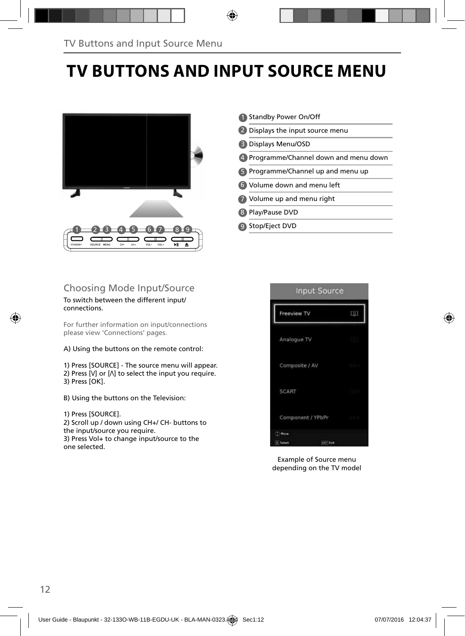# **TV BUTTONS AND INPUT SOURCE MENU**



### Choosing Mode Input/Source

#### To switch between the different input/ connections.

For further information on input/connections please view 'Connections' pages.

A) Using the buttons on the remote control:

1) Press [SOURCE] - The source menu will appear. 2) Press  $[V]$  or  $[V]$  to select the input you require. 3) Press [OK].

- B) Using the buttons on the Television:
- 1) Press [SOURCE].

2) Scroll up / down using CH+/ CH- buttons to the input/source you require. 3) Press Vol+ to change input/source to the one selected.

|                   | <b>Standby Power On/Off</b>          |
|-------------------|--------------------------------------|
|                   | 2 Displays the input source menu     |
| B                 | Displays Menu/OSD                    |
| $\left( 4\right)$ | Programme/Channel down and menu down |
|                   | 5 Programme/Channel up and menu up   |
|                   | <b>6</b> Volume down and menu left   |
|                   | 7 Volume up and menu right           |
| 8                 | Play/Pause DVD                       |
| ٠q                | Stop/Eject DVD                       |



Example of Source menu depending on the TV model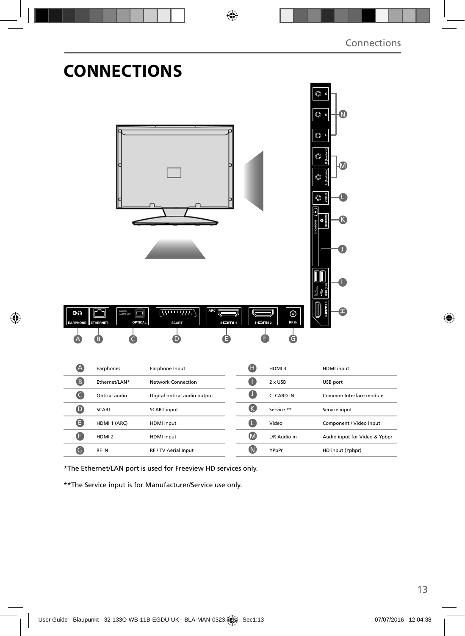| ة ©<br>$\circ$ $\approx$<br>N                                 |
|---------------------------------------------------------------|
| $\circledcirc$<br>O<br>OBOIN<br>O<br><b>O</b><br>SERVICI<br>ш |
|                                                               |
| HDMI input                                                    |
| USB port                                                      |
| Common Interface module                                       |
| Service input                                                 |
| Component / Video input                                       |
| Audio input for Video & Ypbpr                                 |
| HD input (Ypbpr)                                              |
|                                                               |

\*The Ethernet/LAN port is used for Freeview HD services only.

\*\*The Service input is for Manufacturer/Service use only.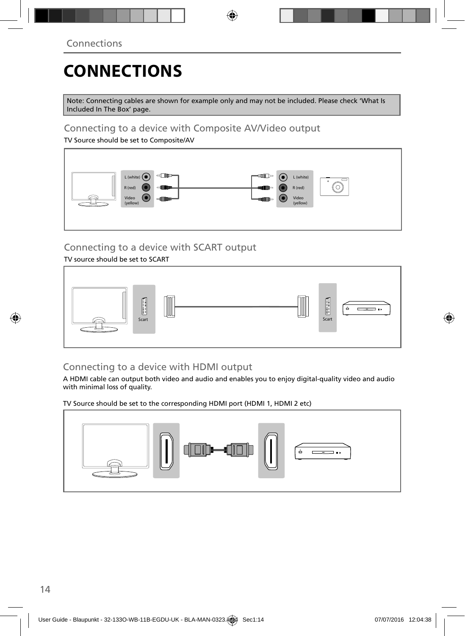# **CONNECTIONS**

Note: Connecting cables are shown for example only and may not be included. Please check 'What Is Included In The Box' page.

### Connecting to a device with Composite AV/Video output

TV Source should be set to Composite/AV



### Connecting to a device with SCART output

TV source should be set to SCART



### Connecting to a device with HDMI output

A HDMI cable can output both video and audio and enables you to enjoy digital-quality video and audio with minimal loss of quality.

TV Source should be set to the corresponding HDMI port (HDMI 1, HDMI 2 etc)

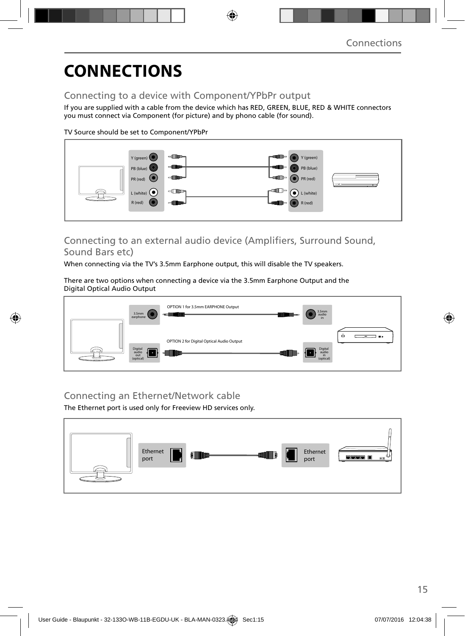# **CONNECTIONS**

### Connecting to a device with Component/YPbPr output

If you are supplied with a cable from the device which has RED, GREEN, BLUE, RED & WHITE connectors you must connect via Component (for picture) and by phono cable (for sound).

TV Source should be set to Component/YPbPr



### Connecting to an external audio device (Amplifiers, Surround Sound, Sound Bars etc)

When connecting via the TV's 3.5mm Earphone output, this will disable the TV speakers.

There are two options when connecting a device via the 3.5mm Earphone Output and the Digital Optical Audio Output



### Connecting an Ethernet/Network cable

The Ethernet port is used only for Freeview HD services only.

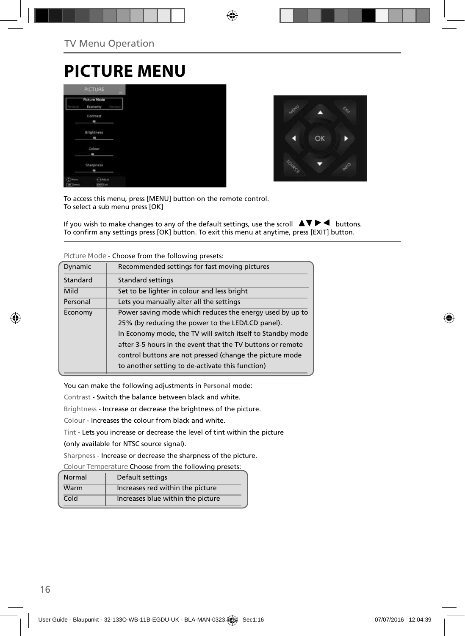# **PICTURE MENU**

|                  | <b>PICTURE</b>                 | <b>LIFE</b> |
|------------------|--------------------------------|-------------|
|                  | <b>Picture Mode</b><br>Economy | Dynas       |
|                  | Contrast<br>۰                  |             |
|                  | Brightness<br>$\blacksquare$   |             |
|                  | Colour<br>$\blacksquare$       |             |
|                  | Sharpness<br>۰                 |             |
| Moun<br>DK Tench | <b>CAASUS</b><br>they like     |             |



To access this menu, press [MENU] button on the remote control. To select a sub menu press [OK]

If you wish to make changes to any of the default settings, use the scroll  $\blacktriangle \blacktriangledown \blacktriangleright \blacktriangleleft$  buttons. To confirm any settings press [OK] button. To exit this menu at anytime, press [EXIT] button.

|          | CHOOSE HOTH GILL HONOWHING PICSCIS.                        |
|----------|------------------------------------------------------------|
| Dynamic  | Recommended settings for fast moving pictures              |
| Standard | Standard settings                                          |
| Mild     | Set to be lighter in colour and less bright                |
| Personal | Lets you manually alter all the settings                   |
| Economy  | Power saving mode which reduces the energy used by up to   |
|          | 25% (by reducing the power to the LED/LCD panel).          |
|          | In Economy mode, the TV will switch itself to Standby mode |
|          | after 3-5 hours in the event that the TV buttons or remote |
|          | control buttons are not pressed (change the picture mode   |
|          | to another setting to de-activate this function)           |
|          |                                                            |

**Picture Mode** - Choose from the following presets:

You can make the following adjustments in **Personal** mode:

Contrast - Switch the balance between black and white.

Brightness - Increase or decrease the brightness of the picture.

Colour - Increases the colour from black and white.

Tint - Lets you increase or decrease the level of tint within the picture

(only available for NTSC source signal).

Sharpness - Increase or decrease the sharpness of the picture.

**Colour Temperature** Choose from the following presets:

| Normal | Default settings                  |
|--------|-----------------------------------|
| Warm   | Increases red within the picture  |
| Cold   | Increases blue within the picture |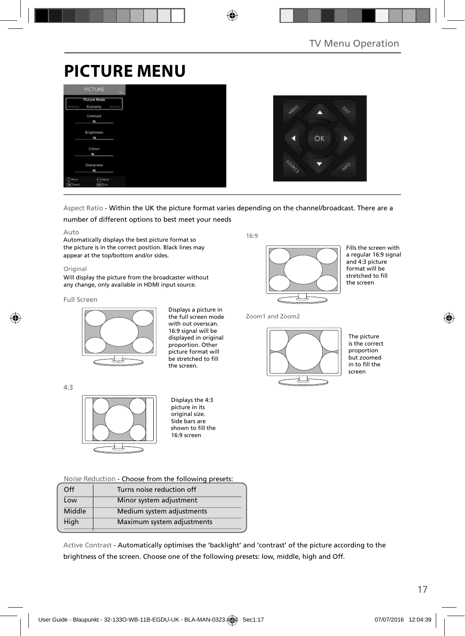# **PICTURE MENU**

|                             | <b>PICTURE</b>                 | m.     |
|-----------------------------|--------------------------------|--------|
| Personal                    | <b>Picture Mode</b><br>Economy | Dysami |
|                             | Contrast                       |        |
|                             | ı                              |        |
|                             | Brightness<br>×                |        |
|                             | Colour                         |        |
|                             | ı<br>Sharpness                 |        |
|                             | ۰                              |        |
| $^{\circ}$ Mose<br>OK Tered | Adolet<br>don't Latt           |        |



### Aspect Ratio - Within the UK the picture format varies depending on the channel/broadcast. There are a

number of different options to best meet your needs

#### Auto

Automatically displays the best picture format so the picture is in the correct position. Black lines may appear at the top/bottom and/or sides.

#### **Original**

Will display the picture from the broadcaster without any change, only available in HDMI input source.

#### Full Screen

4:3



Displays a picture in the full screen mode with out overscan. 16:9 signal will be displayed in original proportion. Other picture format will be stretched to fill the screen.

 $16.9$ 



Fills the screen with a regular 16:9 signal and 4:3 picture format will be stretched to fill the screen

Zoom1 and Zoom2



The picture is the correct proportion but zoomed in to fill the screen

Displays the 4:3 picture in its original size. Side bars are  $shown to fill the$ 16:9 screen

**Noise Reduction** - Choose from the following presets:

| Off    | Turns noise reduction off  |  |
|--------|----------------------------|--|
| Low    | Minor system adjustment    |  |
| Middle | Medium system adjustments  |  |
| High   | Maximum system adjustments |  |
|        |                            |  |

Active Contrast - Automatically optimises the 'backlight' and 'contrast' of the picture according to the brightness of the screen. Choose one of the following presets: low, middle, high and Off.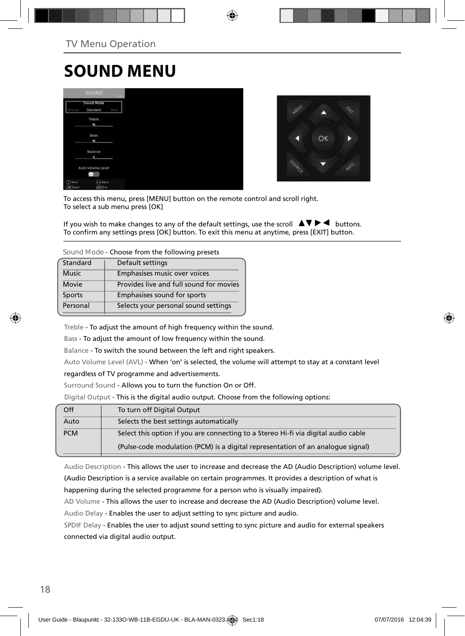# **SOUND MENU**

|                               | <b>SOUND</b>                    |               |
|-------------------------------|---------------------------------|---------------|
|                               | Sound Mode<br>Standard          | <b>Margar</b> |
|                               | Treble<br>٠                     |               |
|                               | Bass<br>٠                       |               |
|                               | Balance<br>٠                    |               |
|                               | Auto Volume Level<br>÷          |               |
| $(2)$ Hour<br><b>OK</b> Twent | <b>CASH</b><br><b>Earl Katt</b> |               |



To access this menu, press [MENU] button on the remote control and scroll right. To select a sub menu press [OK]

If you wish to make changes to any of the default settings, use the scroll  $\Delta \nabla \blacktriangleright \blacktriangleleft$  buttons. To confirm any settings press [OK] button. To exit this menu at anytime, press [EXIT] button.

**Sound Mode** - Choose from the following presets

| Standard     | Default settings                        |
|--------------|-----------------------------------------|
| <b>Music</b> | Emphasises music over voices            |
| Movie        | Provides live and full sound for movies |
| Sports       | Emphasises sound for sports             |
| Personal     | Selects your personal sound settings    |
|              |                                         |

Treble - To adjust the amount of high frequency within the sound.

Bass - To adjust the amount of low frequency within the sound.

Balance - To switch the sound between the left and right speakers.

Auto Volume Level (AVL) - When 'on' is selected, the volume will attempt to stay at a constant level

regardless of TV programme and advertisements.

Surround Sound - Allows you to turn the function On or Off.

Digital Output - This is the digital audio output. Choose from the following options:

| Off        | To turn off Digital Output                                                         |
|------------|------------------------------------------------------------------------------------|
| Auto       | Selects the best settings automatically                                            |
| <b>PCM</b> | Select this option if you are connecting to a Stereo Hi-fi via digital audio cable |
|            | (Pulse-code modulation (PCM) is a digital representation of an analogue signal)    |

Audio Description - This allows the user to increase and decrease the AD (Audio Description) volume level. (Audio Description is a service available on certain programmes. It provides a description of what is happening during the selected programme for a person who is visually impaired).

AD Volume - This allows the user to increase and decrease the AD (Audio Description) volume level. Audio Delay - Enables the user to adjust setting to sync picture and audio.

SPDIF Delay - Enables the user to adjust sound setting to sync picture and audio for external speakers connected via digital audio output.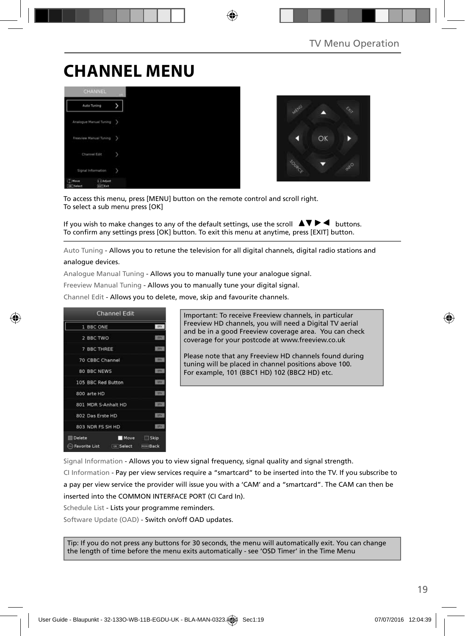# **CHANNEL MENU**





To access this menu, press [MENU] button on the remote control and scroll right. To select a sub menu press [OK]

If you wish to make changes to any of the default settings, use the scroll  $\Delta \nabla \blacktriangleright \blacktriangleleft$  buttons. To confirm any settings press [OK] button. To exit this menu at anytime, press [EXIT] button.

Auto Tuning - Allows you to retune the television for all digital channels, digital radio stations and analogue devices.

Analogue Manual Tuning - Allows you to manually tune your analogue signal.

Freeview Manual Tuning - Allows you to manually tune your digital signal.

Channel Edit - Allows you to delete, move, skip and favourite channels.



Important: To receive Freeview channels, in particular Freeview HD channels, you will need a Digital TV aerial and be in a good Freeview coverage area. You can check coverage for your postcode at www.freeview.co.uk

Please note that any Freeview HD channels found during tuning will be placed in channel positions above 100. For example, 101 (BBC1 HD) 102 (BBC2 HD) etc.

Signal Information - Allows you to view signal frequency, signal quality and signal strength.

CI Information - Pay per view services require a "smartcard" to be inserted into the TV. If you subscribe to a pay per view service the provider will issue you with a 'CAM' and a "smartcard". The CAM can then be inserted into the COMMON INTERFACE PORT (CI Card In).

Schedule List - Lists your programme reminders.

Software Update (OAD) - Switch on/off OAD updates.

Tip: If you do not press any buttons for 30 seconds, the menu will automatically exit. You can change the length of time before the menu exits automatically - see 'OSD Timer' in the Time Menu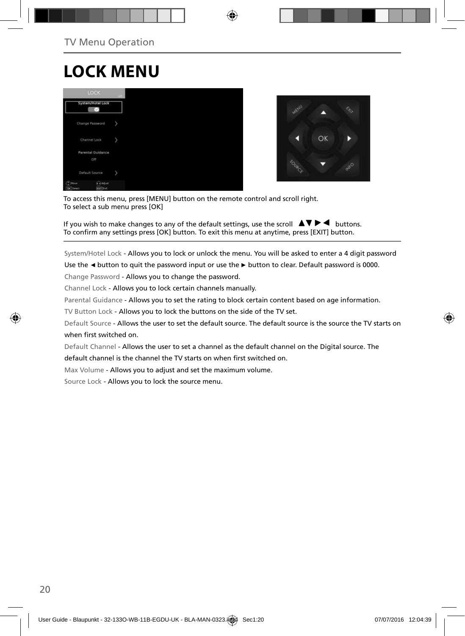# **LOCK MENU**





To access this menu, press [MENU] button on the remote control and scroll right. To select a sub menu press [OK]

If you wish to make changes to any of the default settings, use the scroll  $\Box \blacktriangledown \blacktriangleright \blacktriangleleft$  buttons. To confirm any settings press [OK] button. To exit this menu at anytime, press [EXIT] button.

System/Hotel Lock - Allows you to lock or unlock the menu. You will be asked to enter a 4 digit password

Use the **◄** button to quit the password input or use the **►** button to clear. Default password is 0000.

Change Password - Allows you to change the password.

Channel Lock - Allows you to lock certain channels manually.

Parental Guidance - Allows you to set the rating to block certain content based on age information.

TV Button Lock - Allows you to lock the buttons on the side of the TV set.

Default Source - Allows the user to set the default source. The default source is the source the TV starts on when first switched on.

Default Channel - Allows the user to set a channel as the default channel on the Digital source. The

default channel is the channel the TV starts on when first switched on.

Max Volume - Allows you to adjust and set the maximum volume.

Source Lock - Allows you to lock the source menu.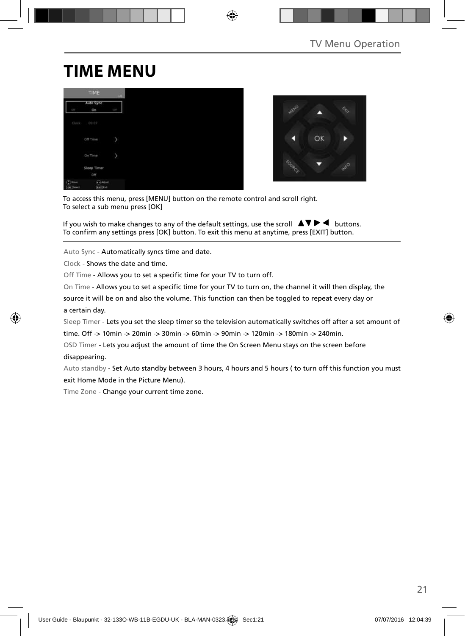# **TIME MENU**

|                              | TIME                | $-446.7$   |
|------------------------------|---------------------|------------|
| GTE                          | Auto Sync<br>On     | <b>CEP</b> |
| Clock                        | 00:07               |            |
|                              | Off Time            | ×          |
|                              | On Time             | y          |
|                              | Sleep Timer<br>Off  |            |
| Ð<br>Nove<br><b>DK</b> Twent | ChAdiat<br>Earl Cut |            |



To access this menu, press [MENU] button on the remote control and scroll right. To select a sub menu press [OK]

If you wish to make changes to any of the default settings, use the scroll  $\blacktriangle \blacktriangledown \blacktriangleright \blacktriangleleft$  buttons. To confirm any settings press [OK] button. To exit this menu at anytime, press [EXIT] button.

Auto Sync - Automatically syncs time and date.

Clock - Shows the date and time.

Off Time - Allows you to set a specific time for your TV to turn off.

On Time - Allows you to set a specific time for your TV to turn on, the channel it will then display, the

source it will be on and also the volume. This function can then be toggled to repeat every day or a certain day.

Sleep Timer - Lets you set the sleep timer so the television automatically switches off after a set amount of

time. Off -> 10min -> 20min -> 30min -> 60min -> 90min -> 120min -> 180min -> 240min.

OSD Timer - Lets you adjust the amount of time the On Screen Menu stays on the screen before disappearing.

Auto standby - Set Auto standby between 3 hours, 4 hours and 5 hours ( to turn off this function you must exit Home Mode in the Picture Menu).

Time Zone - Change your current time zone.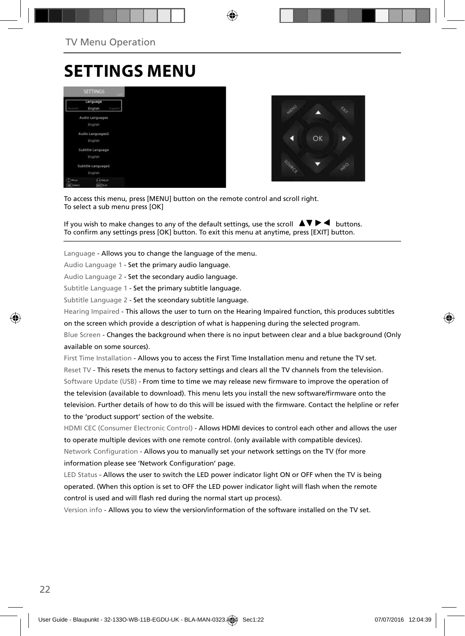# **SETTINGS MENU**





To access this menu, press [MENU] button on the remote control and scroll right. To select a sub menu press [OK]

If you wish to make changes to any of the default settings, use the scroll  $\Box \Box \blacktriangleright \blacktriangleleft$  buttons. To confirm any settings press [OK] button. To exit this menu at anytime, press [EXIT] button.

Language - Allows you to change the language of the menu.

Audio Language 1 - Set the primary audio language.

Audio Language 2 - Set the secondary audio language.

Subtitle Language 1 - Set the primary subtitle language.

Subtitle Language 2 - Set the sceondary subtitle language.

Hearing Impaired - This allows the user to turn on the Hearing Impaired function, this produces subtitles

on the screen which provide a description of what is happening during the selected program.

Blue Screen - Changes the background when there is no input between clear and a blue background (Only available on some sources).

First Time Installation - Allows you to access the First Time Installation menu and retune the TV set. Reset TV - This resets the menus to factory settings and clears all the TV channels from the television. Software Update (USB) - From time to time we may release new firmware to improve the operation of the television (available to download). This menu lets you install the new software/firmware onto the television. Further details of how to do this will be issued with the firmware. Contact the helpline or refer to the 'product support' section of the website.

HDMI CEC (Consumer Electronic Control) - Allows HDMI devices to control each other and allows the user to operate multiple devices with one remote control. (only available with compatible devices). Network Configuration - Allows you to manually set your network settings on the TV (for more information please see 'Network Configuration' page.

LED Status - Allows the user to switch the LED power indicator light ON or OFF when the TV is being operated. (When this option is set to OFF the LED power indicator light will flash when the remote control is used and will flash red during the normal start up process).

Version info - Allows you to view the version/information of the software installed on the TV set.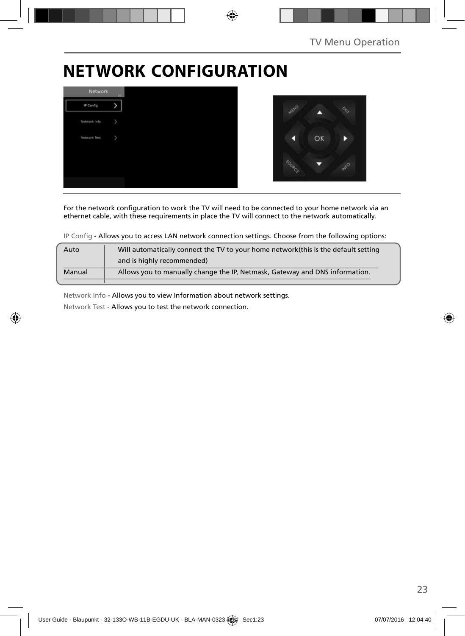¢.

# **NETWORK CONFIGURATION**



For the network configuration to work the TV will need to be connected to your home network via an ethernet cable, with these requirements in place the TV will connect to the network automatically.

IP Config - Allows you to access LAN network connection settings. Choose from the following options:

| Auto   | Will automatically connect the TV to your home network (this is the default setting |  |
|--------|-------------------------------------------------------------------------------------|--|
|        | and is highly recommended)                                                          |  |
| Manual | Allows you to manually change the IP, Netmask, Gateway and DNS information.         |  |
|        |                                                                                     |  |

Network Info - Allows you to view Information about network settings.

Network Test - Allows you to test the network connection.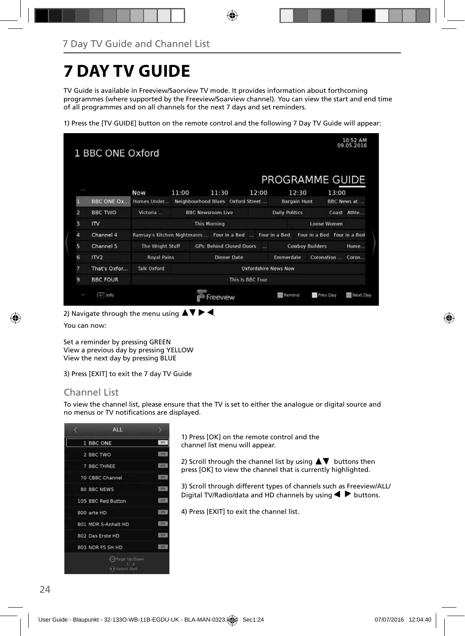# **7 DAY TV GUIDE**

TV Guide is available in Freeview/Saorview TV mode. It provides information about forthcoming programmes (where supported by the Freeview/Soarview channel). You can view the start and end time of all programmes and on all channels for the next 7 days and set reminders.

1) Press the [TV GUIDE] button on the remote control and the following 7 Day TV Guide will appear:

|                         |                   |                    |       |                                                           |                | PROGRAMME GUIDE             |                             |       |                     |
|-------------------------|-------------------|--------------------|-------|-----------------------------------------------------------|----------------|-----------------------------|-----------------------------|-------|---------------------|
|                         |                   | Now                | 11:00 | 11:30                                                     | 12:00          | 12:30                       |                             | 13:00 |                     |
| П                       | <b>BBC ONE Ox</b> | Homes Under        |       | Neighbourhood Blues Oxford Street                         |                | <b>Bargain Hunt</b>         |                             |       | <b>BBC News at </b> |
| $\overline{a}$          | <b>BBC TWO</b>    | Victoria           |       | <b>BBC Newsroom Live</b>                                  |                | <b>Daily Politics</b>       |                             |       | Coast Athle         |
| $\overline{\mathbf{3}}$ | $\overline{1}$    |                    |       | <b>This Morning</b>                                       |                |                             | Loose Women                 |       |                     |
| $\overline{a}$          | Channel 4         |                    |       | Ramsay's Kitchen Nightmares  Four in a Bed  Four in a Bed |                |                             | Four in a Bed Four in a Bed |       |                     |
| 5                       | Channel 5         | The Wright Stuff   |       | <b>GPs: Behind Closed Doors</b>                           | $\overline{1}$ |                             | <b>Cowboy Builders</b>      |       | Home                |
| 6                       | ITV2              | <b>Royal Pains</b> |       | <b>Dinner Date</b>                                        |                | Emmerdale                   | Coronation                  |       | Coron               |
| 7                       | That's Oxfor      | <b>Talk Oxford</b> |       |                                                           |                | <b>Oxfordshire News Now</b> |                             |       |                     |
| 9                       | <b>BBC FOUR</b>   | This Is BBC Four   |       |                                                           |                |                             |                             |       |                     |

2) Navigate through the menu using  $\blacktriangle \blacktriangledown \blacktriangleright \blacktriangleleft$ .

You can now:

Set a reminder by pressing GREEN View a previous day by pressing YELLOW View the next day by pressing BLUE

3) Press [EXIT] to exit the 7 day TV Guide

### Channel List

To view the channel list, please ensure that the TV is set to either the analogue or digital source and no menus or TV notifications are displayed.

| c | <b>ALL</b>                          |                         |
|---|-------------------------------------|-------------------------|
|   | 1 BBC ONE                           | <b>DTV</b>              |
|   | 2 BBC TWO                           | <b>UTV</b>              |
|   | 7 BBC THREE                         | <b>DTV</b>              |
|   | 70 CBBC Channel                     | <b>DIN</b>              |
|   | <b>80 BBC NEWS</b>                  | <b>ISP</b>              |
|   | 105 BBC Red Button                  | 1279                    |
|   | 800 arte HD                         | <b>DV</b>               |
|   | 801 MDR S-Anhalt HD                 | 12741                   |
|   | 802 Das Erste HD                    | $\overline{\mathbf{m}}$ |
|   | 803 NDR FS SH HD                    | <b>DFY</b>              |
|   | (in) Page Up/Down<br>** Select Sort |                         |

1) Press [OK] on the remote control and the channel list menu will appear.

2) Scroll through the channel list by using  $\blacktriangle \blacktriangledown$  buttons then press [OK] to view the channel that is currently highlighted.

3) Scroll through different types of channels such as Freeview/ALL/ Digital TV/Radio/data and HD channels by using  $\blacklozenge \blacktriangleright$  buttons.

4) Press [EXIT] to exit the channel list.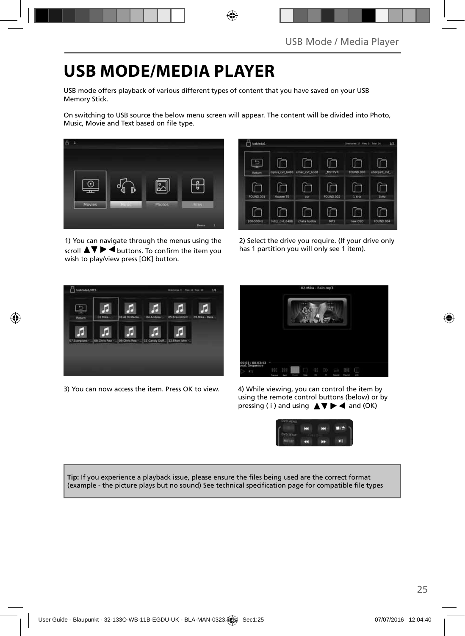# **USB MODE/MEDIA PLAYER**

USB mode offers playback of various different types of content that you have saved on your USB Memory Stick.

On switching to USB source the below menu screen will appear. The content will be divided into Photo, Music, Movie and Text based on file type.



1) You can navigate through the menus using the scroll  $\blacktriangle \blacktriangledown \blacktriangleright \blacktriangleleft$  buttons. To confirm the item you wish to play/view press [OK] button.



2) Select the drive you require. (If your drive only has 1 partition you will only see 1 item).



3) You can now access the item. Press OK to view. 4) While viewing, you can control the item by



using the remote control buttons (below) or by pressing ( i ) and using  $\triangle \blacktriangledown \blacktriangleright \blacktriangleleft$  and (OK)



Tip: If you experience a playback issue, please ensure the files being used are the correct format (example - the picture plays but no sound) See technical specification page for compatible file types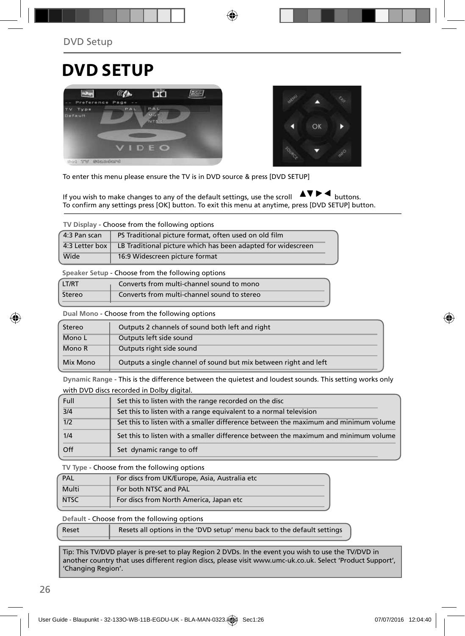## **DVD SETUP**





To enter this menu please ensure the TV is in DVD source & press [DVD SETUP]

If you wish to make changes to any of the default settings, use the scroll  $\Box \Box \blacktriangleright \blacktriangleleft$  buttons. To confirm any settings press [OK] button. To exit this menu at anytime, press [DVD SETUP] button.

**TV Display** - Choose from the following options

| 4:3 Pan scan | PS Traditional picture format, often used on old film                         |
|--------------|-------------------------------------------------------------------------------|
|              | 4:3 Letter box   LB Traditional picture which has been adapted for widescreen |
| Wide         | 16:9 Widescreen picture format                                                |

**Speaker Setup** - Choose from the following options

| LT/RT  | Converts from multi-channel sound to mono   |
|--------|---------------------------------------------|
| Stereo | Converts from multi-channel sound to stereo |

**Dual Mono** - Choose from the following options

| Stereo   | Outputs 2 channels of sound both left and right                  |  |
|----------|------------------------------------------------------------------|--|
| Mono L   | Outputs left side sound                                          |  |
| Mono R   | Outputs right side sound                                         |  |
| Mix Mono | Outputs a single channel of sound but mix between right and left |  |

**Dynamic Range** - This is the difference between the quietest and loudest sounds. This setting works only with DVD discs recorded in Dolby digital.

| Full             | Set this to listen with the range recorded on the disc                              |
|------------------|-------------------------------------------------------------------------------------|
| 3/4              | Set this to listen with a range equivalent to a normal television                   |
| $\overline{1/2}$ | Set this to listen with a smaller difference between the maximum and minimum volume |
| 1/4              | Set this to listen with a smaller difference between the maximum and minimum volume |
| Off              | Set dynamic range to off                                                            |

**TV Type** - Choose from the following options

| PAL         | For discs from UK/Europe, Asia, Australia etc |
|-------------|-----------------------------------------------|
| Multi       | For both NTSC and PAL                         |
| <b>NTSC</b> | For discs from North America, Japan etc       |

**Default** - Choose from the following options

Tip: This TV/DVD player is pre-set to play Region 2 DVDs. In the event you wish to use the TV/DVD in another country that uses different region discs, please visit www.umc-uk.co.uk. Select 'Product Support', 'Changing Region'.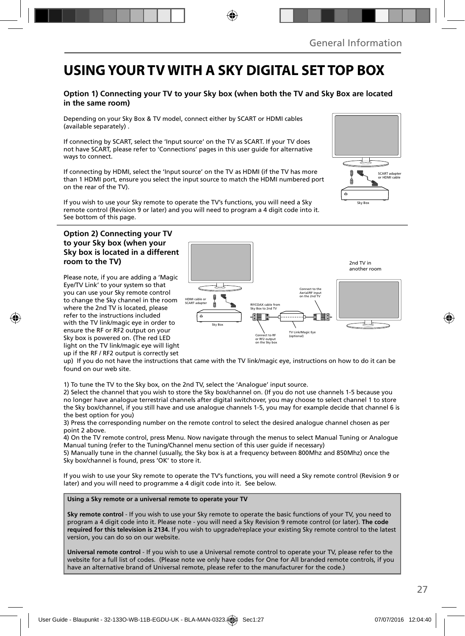### **USING YOUR TV WITH A SKY DIGITAL SET TOP BOX**

#### **Option 1) Connecting your TV to your Sky box (when both the TV and Sky Box are located in the same room)**

Depending on your Sky Box & TV model, connect either by SCART or HDMI cables (available separately) .

If connecting by SCART, select the 'Input source' on the TV as SCART. If your TV does not have SCART, please refer to 'Connections' pages in this user guide for alternative ways to connect.

If connecting by HDMI, select the 'Input source' on the TV as HDMI (if the TV has more than 1 HDMI port, ensure you select the input source to match the HDMI numbered port on the rear of the TV).

If you wish to use your Sky remote to operate the TV's functions, you will need a Sky remote control (Revision 9 or later) and you will need to program a 4 digit code into it. See bottom of this page.

#### **Option 2) Connecting your TV to your Sky box (when your Sky box is located in a different room to the TV)**

Please note, if you are adding a 'Magic Eye/TV Link' to your system so that you can use your Sky remote control to change the Sky channel in the room where the 2nd TV is located, please refer to the instructions included with the TV link/magic eye in order to ensure the RF or RF2 output on your Sky box is powered on. (The red LED light on the TV link/magic eye will light up if the RF / RF2 output is correctly set



up) If you do not have the instructions that came with the TV link/magic eye, instructions on how to do it can be found on our web site.

1) To tune the TV to the Sky box, on the 2nd TV, select the 'Analogue' input source.

2) Select the channel that you wish to store the Sky box/channel on. (If you do not use channels 1-5 because you no longer have analogue terrestrial channels after digital switchover, you may choose to select channel 1 to store the Sky box/channel, if you still have and use analogue channels 1-5, you may for example decide that channel 6 is the best option for you)

3) Press the corresponding number on the remote control to select the desired analogue channel chosen as per point 2 above.

4) On the TV remote control, press Menu. Now navigate through the menus to select Manual Tuning or Analogue Manual tuning (refer to the Tuning/Channel menu section of this user guide if necessary)

5) Manually tune in the channel (usually, the Sky box is at a frequency between 800Mhz and 850Mhz) once the Sky box/channel is found, press 'OK' to store it.

If you wish to use your Sky remote to operate the TV's functions, you will need a Sky remote control (Revision 9 or later) and you will need to programme a 4 digit code into it. See below.

**Using a Sky remote or a universal remote to operate your TV** 

**Sky remote control** - If you wish to use your Sky remote to operate the basic functions of your TV, you need to program a 4 digit code into it. Please note - you will need a Sky Revision 9 remote control (or later). **The code required for this television is 2134.** If you wish to upgrade/replace your existing Sky remote control to the latest version, you can do so on our website.

**Universal remote control** - If you wish to use a Universal remote control to operate your TV, please refer to the website for a full list of codes. (Please note we only have codes for One for All branded remote controls, if you have an alternative brand of Universal remote, please refer to the manufacturer for the code.)

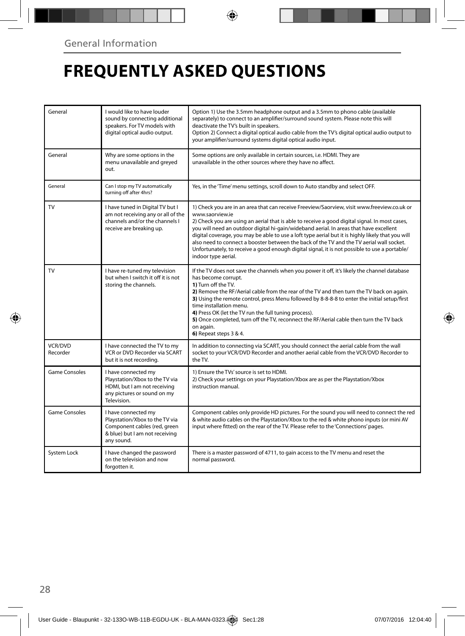# **FREQUENTLY ASKED QUESTIONS**

| General             | I would like to have louder<br>sound by connecting additional<br>speakers. For TV models with<br>digital optical audio output.        | Option 1) Use the 3.5mm headphone output and a 3.5mm to phono cable (available<br>separately) to connect to an amplifier/surround sound system. Please note this will<br>deactivate the TV's built in speakers.<br>Option 2) Connect a digital optical audio cable from the TV's digital optical audio output to<br>your amplifier/surround systems digital optical audio input.                                                                                                                                                                                                                                                    |
|---------------------|---------------------------------------------------------------------------------------------------------------------------------------|-------------------------------------------------------------------------------------------------------------------------------------------------------------------------------------------------------------------------------------------------------------------------------------------------------------------------------------------------------------------------------------------------------------------------------------------------------------------------------------------------------------------------------------------------------------------------------------------------------------------------------------|
| General             | Why are some options in the<br>menu unavailable and greyed<br>out.                                                                    | Some options are only available in certain sources, i.e. HDMI. They are<br>unavailable in the other sources where they have no affect.                                                                                                                                                                                                                                                                                                                                                                                                                                                                                              |
| General             | Can I stop my TV automatically<br>turning off after 4hrs?                                                                             | Yes, in the 'Time' menu settings, scroll down to Auto standby and select OFF.                                                                                                                                                                                                                                                                                                                                                                                                                                                                                                                                                       |
| TV                  | I have tuned in Digital TV but I<br>am not receiving any or all of the<br>channels and/or the channels I<br>receive are breaking up.  | 1) Check you are in an area that can receive Freeview/Saorview, visit www.freeview.co.uk or<br>www.saorview.ie<br>2) Check you are using an aerial that is able to receive a good digital signal. In most cases,<br>you will need an outdoor digital hi-gain/wideband aerial. In areas that have excellent<br>digital coverage, you may be able to use a loft type aerial but it is highly likely that you will<br>also need to connect a booster between the back of the TV and the TV aerial wall socket.<br>Unfortunately, to receive a good enough digital signal, it is not possible to use a portable/<br>indoor type aerial. |
| <b>TV</b>           | I have re-tuned my television<br>but when I switch it off it is not<br>storing the channels.                                          | If the TV does not save the channels when you power it off, it's likely the channel database<br>has become corrupt.<br>1) Turn off the TV.<br>2) Remove the RF/Aerial cable from the rear of the TV and then turn the TV back on again.<br>3) Using the remote control, press Menu followed by 8-8-8-8 to enter the initial setup/first<br>time installation menu.<br>4) Press OK (let the TV run the full tuning process).<br>5) Once completed, turn off the TV, reconnect the RF/Aerial cable then turn the TV back<br>on again.<br>6) Repeat steps 3 & 4.                                                                       |
| VCR/DVD<br>Recorder | I have connected the TV to my<br>VCR or DVD Recorder via SCART<br>but it is not recording.                                            | In addition to connecting via SCART, you should connect the aerial cable from the wall<br>socket to your VCR/DVD Recorder and another aerial cable from the VCR/DVD Recorder to<br>the TV.                                                                                                                                                                                                                                                                                                                                                                                                                                          |
| Game Consoles       | I have connected my<br>Playstation/Xbox to the TV via<br>HDMI, but I am not receiving<br>any pictures or sound on my<br>Television.   | 1) Ensure the TVs' source is set to HDMI.<br>2) Check your settings on your Playstation/Xbox are as per the Playstation/Xbox<br>instruction manual.                                                                                                                                                                                                                                                                                                                                                                                                                                                                                 |
| Game Consoles       | I have connected my<br>Playstation/Xbox to the TV via<br>Component cables (red, green<br>& blue) but I am not receiving<br>any sound. | Component cables only provide HD pictures. For the sound you will need to connect the red<br>& white audio cables on the Playstation/Xbox to the red & white phono inputs (or mini AV<br>input where fitted) on the rear of the TV. Please refer to the 'Connections' pages.                                                                                                                                                                                                                                                                                                                                                        |
| System Lock         | I have changed the password<br>on the television and now<br>forgotten it.                                                             | There is a master password of 4711, to gain access to the TV menu and reset the<br>normal password.                                                                                                                                                                                                                                                                                                                                                                                                                                                                                                                                 |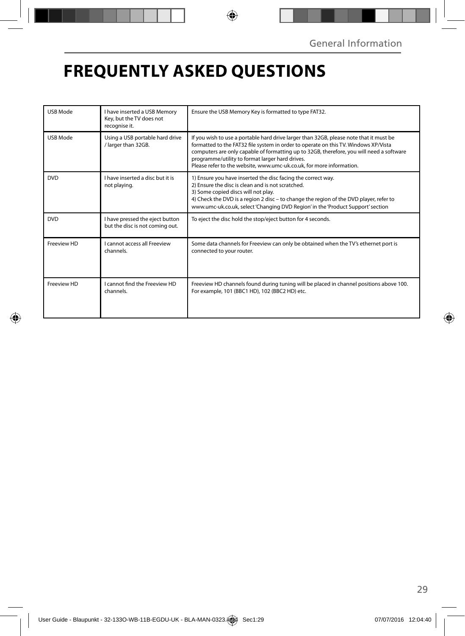# **FREQUENTLY ASKED QUESTIONS**

| <b>USB Mode</b> | I have inserted a USB Memory<br>Key, but the TV does not<br>recognise it. | Ensure the USB Memory Key is formatted to type FAT32.                                                                                                                                                                                                                                                                                                                                                |
|-----------------|---------------------------------------------------------------------------|------------------------------------------------------------------------------------------------------------------------------------------------------------------------------------------------------------------------------------------------------------------------------------------------------------------------------------------------------------------------------------------------------|
| <b>USB Mode</b> | Using a USB portable hard drive<br>/ larger than 32GB.                    | If you wish to use a portable hard drive larger than 32GB, please note that it must be<br>formatted to the FAT32 file system in order to operate on this TV. Windows XP/Vista<br>computers are only capable of formatting up to 32GB, therefore, you will need a software<br>programme/utility to format larger hard drives.<br>Please refer to the website, www.umc-uk.co.uk, for more information. |
| <b>DVD</b>      | I have inserted a disc but it is<br>not playing.                          | 1) Ensure you have inserted the disc facing the correct way.<br>2) Ensure the disc is clean and is not scratched.<br>3) Some copied discs will not play.<br>4) Check the DVD is a region 2 disc - to change the region of the DVD player, refer to<br>www.umc-uk.co.uk, select 'Changing DVD Region' in the 'Product Support' section                                                                |
| <b>DVD</b>      | I have pressed the eject button<br>but the disc is not coming out.        | To eject the disc hold the stop/eject button for 4 seconds.                                                                                                                                                                                                                                                                                                                                          |
| Freeview HD     | <b>Lcannot access all Freeview</b><br>channels.                           | Some data channels for Freeview can only be obtained when the TV's ethernet port is<br>connected to your router.                                                                                                                                                                                                                                                                                     |
| Freeview HD     | I cannot find the Freeview HD<br>channels.                                | Freeview HD channels found during tuning will be placed in channel positions above 100.<br>For example, 101 (BBC1 HD), 102 (BBC2 HD) etc.                                                                                                                                                                                                                                                            |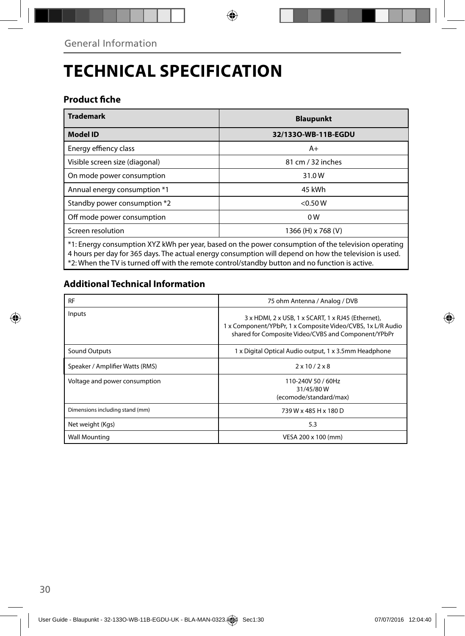# **TECHNICAL SPECIFICATION**

### **Product fiche**

| <b>Trademark</b>                                                                                                                                                                                              | <b>Blaupunkt</b>    |  |  |  |
|---------------------------------------------------------------------------------------------------------------------------------------------------------------------------------------------------------------|---------------------|--|--|--|
| <b>Model ID</b>                                                                                                                                                                                               | 32/1330-WB-11B-EGDU |  |  |  |
| Energy effiency class                                                                                                                                                                                         | A+                  |  |  |  |
| Visible screen size (diagonal)                                                                                                                                                                                | 81 cm / 32 inches   |  |  |  |
| On mode power consumption                                                                                                                                                                                     | 31.0W               |  |  |  |
| Annual energy consumption *1                                                                                                                                                                                  | 45 kWh              |  |  |  |
| Standby power consumption *2                                                                                                                                                                                  | $<$ 0.50 W          |  |  |  |
| Off mode power consumption                                                                                                                                                                                    | 0 W                 |  |  |  |
| Screen resolution                                                                                                                                                                                             | 1366 (H) x 768 (V)  |  |  |  |
| *1: Energy consumption XYZ kWh per year, based on the power consumption of the television operating<br>4 hours per day for 365 days. The actual energy consumption will depend on how the television is used. |                     |  |  |  |

\*2: When the TV is turned off with the remote control/standby button and no function is active.

### **Additional Technical Information**

| <b>RF</b>                       | 75 ohm Antenna / Analog / DVB                                                                                                                                            |
|---------------------------------|--------------------------------------------------------------------------------------------------------------------------------------------------------------------------|
| Inputs                          | 3 x HDMI, 2 x USB, 1 x SCART, 1 x RJ45 (Ethernet),<br>1 x Component/YPbPr, 1 x Composite Video/CVBS, 1x L/R Audio<br>shared for Composite Video/CVBS and Component/YPbPr |
| Sound Outputs                   | 1 x Digital Optical Audio output, 1 x 3.5mm Headphone                                                                                                                    |
| Speaker / Amplifier Watts (RMS) | $2 \times 10 / 2 \times 8$                                                                                                                                               |
| Voltage and power consumption   | 110-240V 50 / 60Hz<br>31/45/80W<br>(ecomode/standard/max)                                                                                                                |
| Dimensions including stand (mm) | 739 W x 485 H x 180 D                                                                                                                                                    |
| Net weight (Kgs)                | 5.3                                                                                                                                                                      |
| <b>Wall Mounting</b>            | VESA 200 x 100 (mm)                                                                                                                                                      |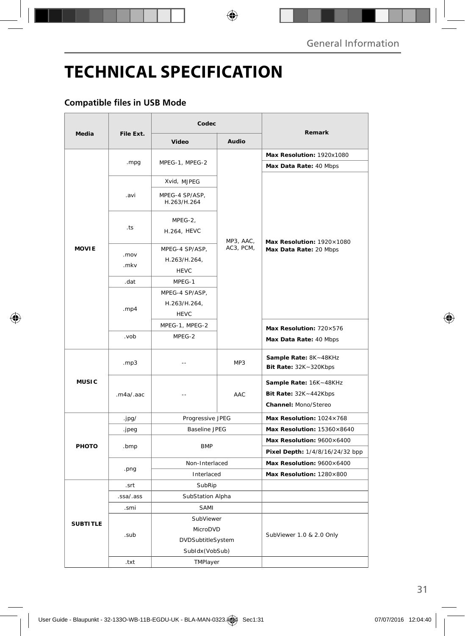# **TECHNICAL SPECIFICATION**

### **Compatible files in USB Mode**

|                 |           | Codec                                         |           |                                                                         |
|-----------------|-----------|-----------------------------------------------|-----------|-------------------------------------------------------------------------|
| Media           | File Ext. | Video                                         | Audio     | Remark                                                                  |
|                 | .mpg      | MPEG-1, MPEG-2                                |           | Max Resolution: 1920x1080                                               |
|                 |           |                                               | MP3, AAC, | Max Data Rate: 40 Mbps                                                  |
|                 | .avi      | Xvid, MJPEG                                   |           | Max Resolution: 1920×1080<br>Max Data Rate: 20 Mbps                     |
|                 |           | MPEG-4 SP/ASP,<br>H.263/H.264                 |           |                                                                         |
|                 | .ts       | MPEG-2,<br>H.264, HEVC                        |           |                                                                         |
| <b>MOVIE</b>    | .mov      | MPEG-4 SP/ASP,                                | AC3, PCM, |                                                                         |
|                 | .mkv      | H.263/H.264,<br><b>HEVC</b>                   |           |                                                                         |
|                 | .dat      | MPEG-1                                        |           |                                                                         |
|                 | .mp4      | MPEG-4 SP/ASP,<br>H.263/H.264,<br><b>HEVC</b> |           |                                                                         |
|                 |           | MPEG-1, MPEG-2                                |           | Max Resolution: 720×576                                                 |
|                 | .vob      | MPEG-2                                        |           | Max Data Rate: 40 Mbps                                                  |
| <b>MUSIC</b>    | .mp3      |                                               | MP3       | Sample Rate: 8K~48KHz<br>Bit Rate: $32K - 320Kbps$                      |
|                 | .m4a/.aac | $-$                                           | AAC       | Sample Rate: 16K~48KHz<br>Bit Rate: 32K~442Kbps<br>Channel: Mono/Stereo |
|                 | .jpg/     | Progressive JPEG                              |           | Max Resolution: 1024×768                                                |
| PHOTO           | .jpeg     | <b>Baseline JPEG</b>                          |           | Max Resolution: $15360\times8640$                                       |
|                 | .bmp      | <b>BMP</b>                                    |           | Max Resolution: 9600×6400                                               |
|                 |           |                                               |           | Pixel Depth: 1/4/8/16/24/32 bpp                                         |
|                 | .png      | Non-Interlaced                                |           | Max Resolution: 9600×6400                                               |
|                 |           | Interlaced                                    |           | Max Resolution: 1280×800                                                |
|                 | .srt      | SubRip                                        |           |                                                                         |
|                 | .ssa/.ass | SubStation Alpha                              |           |                                                                         |
| <b>SUBTITLE</b> | .smi      | SAMI                                          |           |                                                                         |
|                 |           | SubViewer                                     |           | SubViewer 1.0 & 2.0 Only                                                |
|                 | .sub      | MicroDVD                                      |           |                                                                         |
|                 |           | DVDSubtitleSystem                             |           |                                                                         |
|                 |           | SubIdx (VobSub)                               |           |                                                                         |
|                 | .txt      | TMPlayer                                      |           |                                                                         |